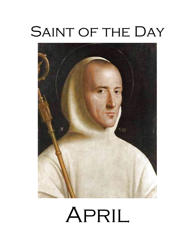# SAINT OF THE DAY



# April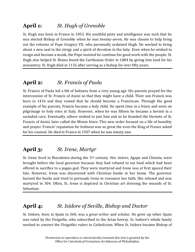# **April 1:** *St. Hugh of Grenoble*

St. Hugh was born in France in 1053. His youthful piety and intelligence was such that he was elected Bishop of Grenoble when he was twenty-seven. He was chosen to help bring out the reforms of Pope Gregory VII, who personally ordained Hugh. He worked to bring about a new zeal in the clergy and a spirit of devotion in the laity. Even when he wished to resign and become a monk, the Pope insisted he continue his good work with the people. St. Hugh also helped St. Bruno found the Carthusian Order in 1084 by giving him land for his monastery. St. Hugh died in 1132 after serving as a bishop for over fifty years.

# **April 2:** *St. Francis of Paola*

St. Francis of Paola led a life of holiness from a very young age. His parents prayed for the intercession of St. Francis of Assisi so that they might have a child. Their son Francis was born in 1416 and they vowed that he should become a Franciscan. Through the good example of his parents, Francis became a holy child. He spent time in a friary and went on pilgrimage to holy sites in Italy. However, when he was fifteen he became a hermit in a secluded cave. Eventually, others wished to join him and so he founded the Hermits of St. Francis of Assisi, later called the Minim friars. This new order focused on a life of humility and prayer. Francis' reputation for holiness was so great the even the King of France asked for his counsel. He died in France in 1507 when he was ninety-one.

#### **April 3:** *St. Irene, Martyr*

St. Irene lived in Macedonia during the  $3<sup>rd</sup>$  century. Her sisters, Agape and Chionia, were brought before the local governor because they had refused to eat food which had been offered in sacrifice to a pagan god. They were martyred and Irene was at first spared their fate. However, Irene was discovered with Christian books in her home. The governor burned the books and tried to persuade Irene to renounce her faith. She refused and was martyred in 304. Often, St. Irene is depicted in Christian art dressing the wounds of St. Sebastian.

# **April 4:** *St. Isidore of Seville, Bishop and Doctor*

St. Isidore, born in Spain in 560, was a great writer and scholar. He grew up when Spain was ruled by the Visigoths, who subscribed to the Arian heresy. St. Isidore's whole family worked to convert the Visigothic rulers to Catholicism. When St. Isidore became Bishop of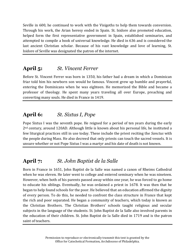Seville in 600, he continued to work with the Visigoths to help them towards conversion. Through his work, the Arian heresy ended in Spain. St. Isidore also promoted education, helped form the first representative government in Spain, established seminaries, and attempted to compile a book of universal knowledge. He died in 636 and is considered the last ancient Christian scholar. Because of his vast knowledge and love of learning, St. Isidore of Seville was designated the patron of the internet.

# **April 5:** *St. Vincent Ferrer*

Before St. Vincent Ferrer was born in 1350, his father had a dream in which a Dominican friar told him his newborn son would be famous. Vincent grew up humble and prayerful, entering the Dominicans when he was eighteen. He memorized the Bible and became a professor of theology. He spent many years traveling all over Europe, preaching and converting many souls. He died in France in 1419.

# **April 6:** *St. Sixtus I, Pope*

Pope Sixtus I was the seventh pope. He reigned for a period of ten years during the early  $2<sup>nd</sup>$  century, around 120AD. Although little is known about his personal life, he instituted a few liturgical practices still in use today. These include the priest reciting the *Sanctus* with the people during Mass. He also decreed that only priests can touch the sacred vessels. It is unsure whether or not Pope Sixtus I was a martyr and his date of death is not known.

# **April 7:** *St. John Baptist de la Salle*

Born in France in 1651, John Baptist de la Salle was named a canon of Rheims Cathedral when he was eleven. He later went to college and entered seminary when he was nineteen. However, when both of his parents passed away within one year, he was forced to go home to educate his siblings. Eventually, he was ordained a priest in 1678. It was then that he began to help found schools for the poor. He believed that an education affirmed the dignity of every person. To do this, he needed to confront the class structure in France that kept the rich and poor separated. He began a community of teachers, which today is known as the Christian Brothers. The Christian Brothers' schools taught religious and secular subjects in the language of the students. St. John Baptist de la Salle also involved parents in the education of their children. St. John Baptist de la Salle died in 1719 and is the patron saint of teachers.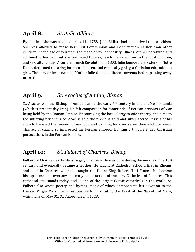#### **April 8:** *St. Julie Billiart*

By the time she was seven years old in 1758, Julie Billiart had memorized the catechism. She was allowed to make her First Communion and Confirmation earlier than other children. At the age of fourteen, she made a vow of chastity. Illness left her paralyzed and confined to her bed, but she continued to pray, teach the catechism to the local children, and sew altar cloths. After the French Revolution in 1803, Julie founded the Sisters of Notre Dame, dedicated to caring for poor children, and especially giving a Christian education to girls. The new order grew, and Mother Julie founded fifteen convents before passing away in 1816.

#### **April 9:** *St. Acacius of Amida, Bishop*

St. Acacius was the Bishop of Amida during the early  $5<sup>th</sup>$  century in ancient Mesopotamia (which is present-day Iran). He felt compassion for thousands of Persian prisoners of war being held by the Roman Empire. Encouraging the local clergy to offer charity and alms to the suffering prisoners, St. Acacius sold the precious gold and silver sacred vessels of his church. He used the money to buy food and clothing for over seven thousand prisoners. This act of charity so impressed the Persian emperor Bahram V that he ended Christian persecutions in the Persian Empire.

#### **April 10:** *St. Fulbert of Chartres, Bishop*

Fulbert of Chartres' early life is largely unknown. He was born during the middle of the 10<sup>th</sup> century and eventually became a teacher. He taught at Cathedral schools, first in Rheims and later in Chartres where he taught the future King Robert II of France. He became bishop there and oversaw the early construction of the new Cathedral of Chartres. This cathedral still stands today, and is one of the largest Gothic cathedrals in the world. St. Fulbert also wrote poetry and hymns, many of which demonstrate his devotion to the Blessed Virgin Mary. He is responsible for instituting the Feast of the Nativity of Mary, which falls on May 31. St. Fulbert died in 1028.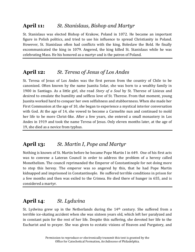#### **April 11:** *St. Stanislaus, Bishop and Martyr*

St. Stanislaus was elected Bishop of Krakow, Poland in 1072. He became an important figure in Polish politics, and tried to use his influence to spread Christianity in Poland. However, St. Stanislaus often had conflicts with the king, Boleslaw the Bold. He finally excommunicated the king in 1079. Angered, the king killed St. Stanislaus while he was celebrating Mass. He his honored as a martyr and is the patron of Poland.

# **April 12:** *St. Teresa of Jesus of Los Andes*

St. Teresa of Jesus of Los Andes was the first person from the country of Chile to be canonized. Often known by the name Juanita Solar, she was born to a wealthy family in 1900 in Santiago. As a little girl, she read *Story of a Soul* by St. Therese of Lisieux and desired to emulate the humility and selfless love of St. Therese. From that moment, young Juanita worked hard to conquer her own selfishness and stubbornness. When she made her First Communion at the age of 10, she began to experience a mystical interior conversation with God. At the age of 14, she vowed to become a Carmelite nun and continued to mold her life to be more Christ-like. After a few years, she entered a small monastery in Los Andes in 1919 and took the name Teresa of Jesus. Only eleven months later, at the age of 19, she died as a novice from typhus.

# **April 13:** *St. Martin I, Pope and Martyr*

Nothing is known of St. Martin before he became Pope Martin I in 649. One of his first acts was to convene a Lateran Council in order to address the problem of a heresy called Monothelism. The council reprimanded the Emperor of Constantinople for not doing more to stop this heresy. The emperor was so angered by this, that he had Pope Martin kidnapped and imprisoned in Constantinople. He suffered terrible conditions in prison for a few months and then was exiled to the Crimea. He died there of hunger in 655, and is considered a martyr.

#### **April 14**: *St. Lydwina*

St. Lydwina grew up in the Netherlands during the 14th century. She suffered from a terrible ice-skating accident when she was sixteen years old, which left her paralyzed and in constant pain for the rest of her life. Despite this suffering, she devoted her life to the Eucharist and to prayer. She was given to ecstatic visions of Heaven and Purgatory, and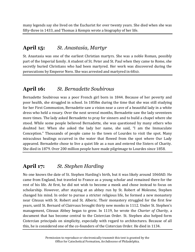many legends say she lived on the Eucharist for over twenty years. She died when she was fifty-three in 1433, and Thomas à Kempis wrote a biography of her life.

#### **April 15:** *St. Anastasia, Martyr*

St. Anastasia was one of the earliest Christian martyrs. She was a noble Roman, possibly part of the Imperial family. A student of St. Peter and St. Paul when they came to Rome, she secretly buried Christians who had been martyred. Her work was discovered during the persecutions by Emperor Nero. She was arrested and martyred in 68AD.

#### **April 16:** *St. Bernadette Soubirous*

Bernadette Soubirous was a poor French girl born in 1844. Because of her poverty and poor health, she struggled in school. In 1858m during the time that she was still studying for her First Communion, Bernadette saw a vision near a cave of a beautiful lady in a white dress who held a rosary. Over the next several months, Bernadette saw the lady seventeen more times. The lady asked Bernadette to pray for sinners and to build a chapel where she stood. While some people believed Bernadette, she was questioned by many others who doubted her. When she asked the lady her name, she said, "I am the Immaculate Conception." Thousands of people came to the town of Lourdes to visit the spot. Many miraculous healings occurred in the water that flowed from the spot where Our Lady appeared. Bernadette chose to live a quiet life as a nun and entered the Sisters of Charity. She died in 1879. Over 200 million people have made pilgrimage to Lourdes since 1858.

# **April 17:** *St. Stephen Harding*

No one knows the date of St. Stephen Harding's birth, but it was likely around 1060AD. He came from England, but traveled to France as a young scholar and remained there for the rest of his life. At first, he did not wish to become a monk and chose instead to focus on scholarship. However, after staying at an abbey run by St. Robert of Molesme, Stephen changed his mind. In order to pursue a stricter religious life, he formed a new monastery near Citeaux with St. Robert and St. Alberic. Their monastery struggled for the first few years, until St. Bernard of Clairvaux brought thirty new monks in 1112. Under St. Stephen's management, Citeaux Abbey began to grow. In 1119, he wrote the *Charter of Charity*, a document that has become central to the Cistercian Order. St. Stephen also helped form Cistercian principals on simplicity, especially with regard to architectures. Because of all this, he is considered one of the co-founders of the Cistercian Order. He died in 1134.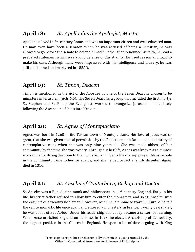#### **April 18:** *St. Apollonius the Apologist, Martyr*

Apollonius lived in 2<sup>nd</sup> century Rome, and was an important citizen and well-educated man. He may even have been a senator. When he was accused of being a Christian, he was allowed to go before the senate to defend himself. Rather than renounce his faith, he read a prepared statement which was a long defense of Christianity. He used reason and logic to make his case. Although many were impressed with his intelligence and bravery, he was still condemned and martyred in 185AD.

#### **April 19:** *St. Timon, Deacon*

Timon is mentioned in the Act of the Apostles as one of the Seven Deacons chosen to be ministers in Jerusalem (Acts 6:5). The Seven Deacons, a group that included the first martyr St. Stephen and St. Philip the Evangelist, worked to evangelize Jerusalem immediately following the Ascension of Jesus into Heaven.

#### **April 20:** *St. Agnes of Montepulciano*

Agnes was born in 1268 in the Tuscan town of Montepulciano. Her love of Jesus was so great, that she was given special permission by the Pope to enter a Dominican monastery of contemplative nuns when she was only nine years old. She was made abbess of her community by the time she was twenty. Throughout her life, Agnes was known as a miracle worker, had a strong devotion to the Eucharist, and lived a life of deep prayer. Many people in the community came to her for advice, and she helped to settle family disputes. Agnes died in 1316.

#### **April 21:** *St. Anselm of Canterbury, Bishop and Doctor*

St. Anselm was a Benedictine monk and philosopher in  $11<sup>th</sup>$  century England. Early in his life, his strict father refused to allow him to enter the monastery, and so St. Anselm lived the easy life of a wealthy nobleman. However, when he left home to travel in Europe he felt the call to monastic life once again and entered a monastery in France. Twenty years later, he was abbot of Bec Abbey. Under his leadership this abbey became a center for learning. When Anselm visited England on business in 1093, he elected Archbishop of Canterbury, the highest position in the Church in England. He spent a lot of time arguing with King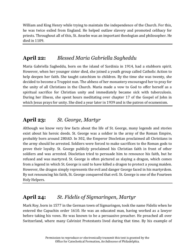William and King Henry while trying to maintain the independence of the Church. For this, he was twice exiled from England. He helped outlaw slavery and promoted celibacy for priests. Throughout all of this, St. Anselm was an important theologian and philosopher. He died in 1109.

#### **April 22:** *Blessed Maria Gabriella Sagheddu*

Maria Gabriella Sagheddu, born on the island of Sardinia in 1914, had a stubborn spirit. However, when her younger sister died, she joined a youth group called Catholic Action to help deepen her faith. She taught catechism to children. By the time she was twenty, she decided to become a Trappist nun. The abbess of her monastery encouraged her to pray for the unity of all Christians in the Church. Maria made a vow to God to offer herself as a spiritual sacrifice for Christian unity and immediately became sick with tuberculosis. During her illness, she spent hours meditating over chapter 17 of the Gospel of John in which Jesus prays for unity. She died a year later in 1939 and is the patron of ecumenism.

# **April 23:** *St. George, Martyr*

Although we know very few facts about the life of St. George, many legends and stories exist about his heroic deeds. St. George was a soldier in the army of the Roman Empire, probably born around 280AD. In 302, the Emperor Diocletian proclaimed all Christians in the army should be arrested. Soldiers were forced to make sacrifices to the Roman gods to prove their loyalty. St. George publicly proclaimed his Christian faith in front of other soldiers and was arrested. Diocletian tried to persuade him to renounce his faith, but he refused and was martyred. St. George is often pictured as slaying a dragon, which comes from a legend in which St. George is said to have killed a dragon to protect a young maiden. However, the dragon simply represents the evil and danger George faced in his martyrdom. By not renouncing his faith, St. George conquered that evil. St. George is one of the Fourteen Holy Helpers.

# **April 24:** *St. Fidelis of Sigmaringen, Martyr*

Mark Roy, born in 1577 in the German town of Sigmaringen, took the name Fidelis when he entered the Capuchin order 1610. He was an educated man, having worked as a lawyer before taking his vows. He was known to be a persuasive preacher. He preached all over Switzerland, where many Calvinist Protestants lived during that time. By his example of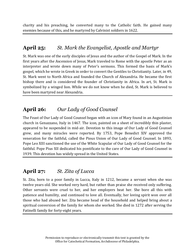charity and his preaching, he converted many to the Catholic faith. He gained many enemies because of this, and he martyred by Calvinist soldiers in 1622.

#### **April 25:** *St. Mark the Evangelist, Apostle and Martyr*

St. Mark was one of the early disciples of Jesus and the author of the Gospel of Mark. In the first years after the Ascension of Jesus, Mark traveled to Rome with the apostle Peter as an interpreter and wrote down many of Peter's sermons. This formed the basis of Mark's gospel, which he wrote in Greek in order to convert the Gentiles to Christianity. Later, in 49, St. Mark went to North Africa and founded the Church of Alexandria. He became the first bishop there and is considered the founder of Christianity in Africa. In art, St. Mark is symbolized by a winged lion. While we do not know when he died, St. Mark is believed to have been martyred near Alexandria.

# **April 26:** *Our Lady of Good Counsel*

The Feast of Our Lady of Good Counsel began with an icon of Mary found in an Augustinian church in Genazzano, Italy in 1467. The icon, painted on a sheet of incredibly thin plaster, appeared to be suspended in mid-air. Devotion to this image of Our Lady of Good Counsel grew, and many miracles were reported. By 1753, Pope Benedict XIV approved the veneration for the faithful, called the Pious Union of Our Lady of Good Counsel. In 1893, Pope Leo XIII sanctioned the use of the White Scapular of Our Lady of Good Counsel for the faithful. Pope Pius XII dedicated his pontificate to the care of Our Lady of Good Counsel in 1939. This devotion has widely spread in the United States.

# **April 27:** *St. Zita of Lucca*

St. Zita, born to a poor family in Lucca, Italy in 1212, became a servant when she was twelve years old. She worked very hard, but rather than praise she received only suffering. Other servants were cruel to her, and her employers beat her. She bore all this with patience and humility, and continued to love all. Eventually, her loving spirit won over all those who had abused her. Zita became head of the household and helped bring about a spiritual conversion of the family for whom she worked. She died in 1272 after serving the Fatinelli family for forty-eight years.